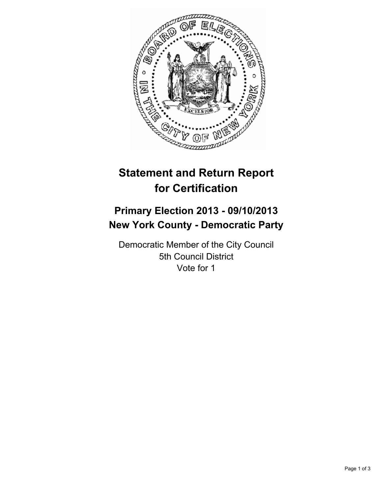

# **Statement and Return Report for Certification**

## **Primary Election 2013 - 09/10/2013 New York County - Democratic Party**

Democratic Member of the City Council 5th Council District Vote for 1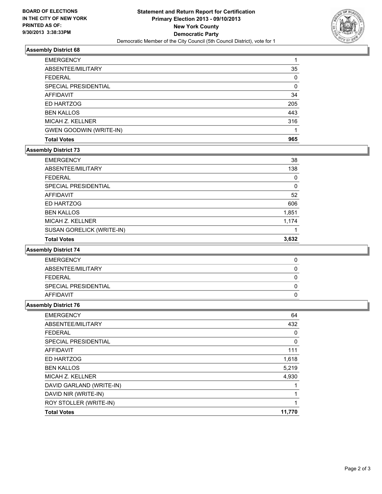

## **Assembly District 68**

| <b>EMERGENCY</b><br>ABSENTEE/MILITARY | 35       |
|---------------------------------------|----------|
|                                       |          |
| <b>FEDERAL</b>                        | 0        |
| SPECIAL PRESIDENTIAL                  | $\Omega$ |
| AFFIDAVIT                             | 34       |
| ED HARTZOG                            | 205      |
| <b>BEN KALLOS</b>                     | 443      |
| MICAH Z. KELLNER                      | 316      |
| <b>GWEN GOODWIN (WRITE-IN)</b>        |          |
| <b>Total Votes</b>                    | 965      |

#### **Assembly District 73**

| <b>Total Votes</b>        | 3,632    |
|---------------------------|----------|
| SUSAN GORELICK (WRITE-IN) |          |
| MICAH Z. KELLNER          | 1,174    |
| <b>BEN KALLOS</b>         | 1,851    |
| ED HARTZOG                | 606      |
| AFFIDAVIT                 | 52       |
| SPECIAL PRESIDENTIAL      | 0        |
| <b>FEDERAL</b>            | $\Omega$ |
| ABSENTEE/MILITARY         | 138      |
| <b>EMERGENCY</b>          | 38       |

#### **Assembly District 74**

| <b>EMERGENCY</b>            |  |
|-----------------------------|--|
| ABSENTEE/MILITARY           |  |
| FEDERAL                     |  |
| <b>SPECIAL PRESIDENTIAL</b> |  |
| AFFIDAVIT                   |  |

### **Assembly District 76**

| <b>EMERGENCY</b>            | 64       |
|-----------------------------|----------|
| ABSENTEE/MILITARY           | 432      |
| <b>FEDERAL</b>              | $\Omega$ |
| <b>SPECIAL PRESIDENTIAL</b> | 0        |
| <b>AFFIDAVIT</b>            | 111      |
| ED HARTZOG                  | 1,618    |
| <b>BEN KALLOS</b>           | 5,219    |
| MICAH Z. KELLNER            | 4,930    |
| DAVID GARLAND (WRITE-IN)    |          |
| DAVID NIR (WRITE-IN)        |          |
| ROY STOLLER (WRITE-IN)      |          |
| <b>Total Votes</b>          | 11,770   |